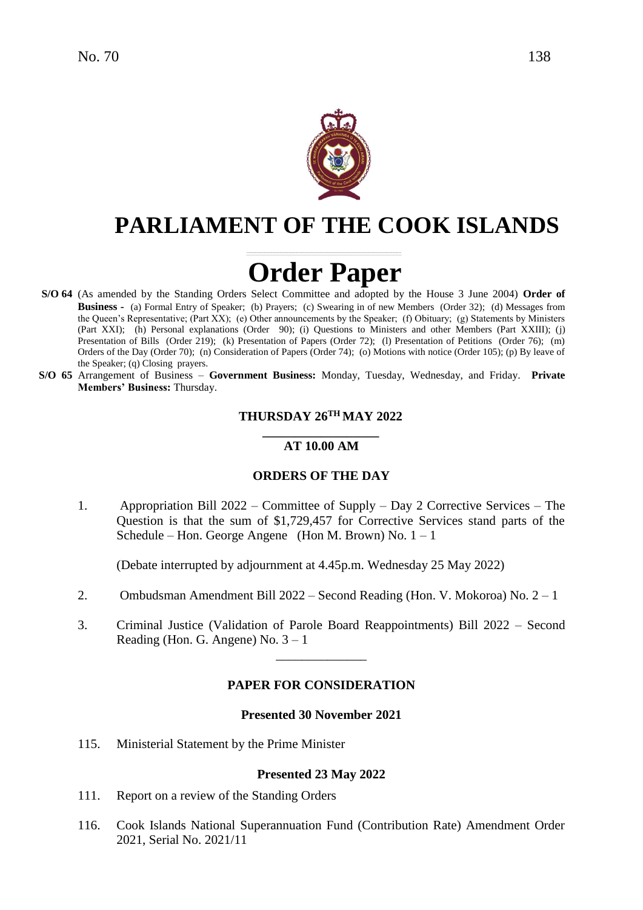

# **PARLIAMENT OF THE COOK ISLANDS**

# **Order Paper**

- **S/O 64** (As amended by the Standing Orders Select Committee and adopted by the House 3 June 2004) **Order of Business -** (a) Formal Entry of Speaker; (b) Prayers; (c) Swearing in of new Members (Order 32); (d) Messages from the Queen's Representative; (Part XX); (e) Other announcements by the Speaker; (f) Obituary; (g) Statements by Ministers (Part XXI); (h) Personal explanations (Order 90); (i) Questions to Ministers and other Members (Part XXIII); (j) Presentation of Bills (Order 219); (k) Presentation of Papers (Order 72); (l) Presentation of Petitions (Order 76); (m) Orders of the Day (Order 70); (n) Consideration of Papers (Order 74); (o) Motions with notice (Order 105); (p) By leave of the Speaker; (q) Closing prayers.
- **S/O 65** Arrangement of Business **Government Business:** Monday, Tuesday, Wednesday, and Friday. **Private Members' Business:** Thursday.

#### **THURSDAY 26 TH MAY 2022**

#### **\_\_\_\_\_\_\_\_\_\_\_\_\_\_\_\_\_\_ AT 10.00 AM**

#### **ORDERS OF THE DAY**

1. Appropriation Bill 2022 – Committee of Supply – Day 2 Corrective Services – The Question is that the sum of \$1,729,457 for Corrective Services stand parts of the Schedule – Hon. George Angene (Hon M. Brown) No.  $1 - 1$ 

(Debate interrupted by adjournment at 4.45p.m. Wednesday 25 May 2022)

- 2. Ombudsman Amendment Bill 2022 Second Reading (Hon. V. Mokoroa) No. 2 1
- 3. Criminal Justice (Validation of Parole Board Reappointments) Bill 2022 Second Reading (Hon. G. Angene) No.  $3 - 1$

\_\_\_\_\_\_\_\_\_\_\_\_\_\_

#### **PAPER FOR CONSIDERATION**

#### **Presented 30 November 2021**

115. Ministerial Statement by the Prime Minister

#### **Presented 23 May 2022**

- 111. Report on a review of the Standing Orders
- 116. Cook Islands National Superannuation Fund (Contribution Rate) Amendment Order 2021, Serial No. 2021/11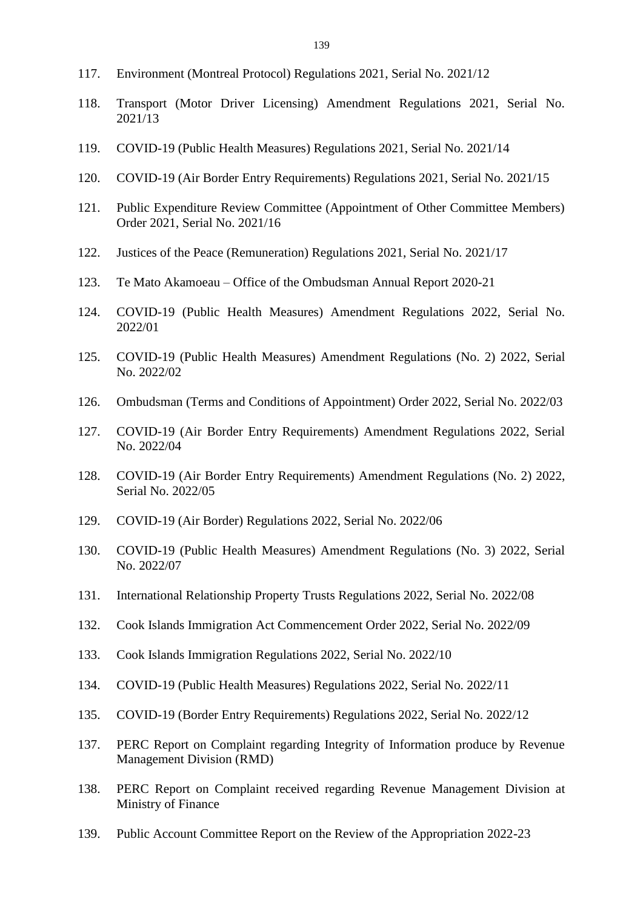- 117. Environment (Montreal Protocol) Regulations 2021, Serial No. 2021/12
- 118. Transport (Motor Driver Licensing) Amendment Regulations 2021, Serial No. 2021/13
- 119. COVID-19 (Public Health Measures) Regulations 2021, Serial No. 2021/14
- 120. COVID-19 (Air Border Entry Requirements) Regulations 2021, Serial No. 2021/15
- 121. Public Expenditure Review Committee (Appointment of Other Committee Members) Order 2021, Serial No. 2021/16
- 122. Justices of the Peace (Remuneration) Regulations 2021, Serial No. 2021/17
- 123. Te Mato Akamoeau Office of the Ombudsman Annual Report 2020-21
- 124. COVID-19 (Public Health Measures) Amendment Regulations 2022, Serial No. 2022/01
- 125. COVID-19 (Public Health Measures) Amendment Regulations (No. 2) 2022, Serial No. 2022/02
- 126. Ombudsman (Terms and Conditions of Appointment) Order 2022, Serial No. 2022/03
- 127. COVID-19 (Air Border Entry Requirements) Amendment Regulations 2022, Serial No. 2022/04
- 128. COVID-19 (Air Border Entry Requirements) Amendment Regulations (No. 2) 2022, Serial No. 2022/05
- 129. COVID-19 (Air Border) Regulations 2022, Serial No. 2022/06
- 130. COVID-19 (Public Health Measures) Amendment Regulations (No. 3) 2022, Serial No. 2022/07
- 131. International Relationship Property Trusts Regulations 2022, Serial No. 2022/08
- 132. Cook Islands Immigration Act Commencement Order 2022, Serial No. 2022/09
- 133. Cook Islands Immigration Regulations 2022, Serial No. 2022/10
- 134. COVID-19 (Public Health Measures) Regulations 2022, Serial No. 2022/11
- 135. COVID-19 (Border Entry Requirements) Regulations 2022, Serial No. 2022/12
- 137. PERC Report on Complaint regarding Integrity of Information produce by Revenue Management Division (RMD)
- 138. PERC Report on Complaint received regarding Revenue Management Division at Ministry of Finance
- 139. Public Account Committee Report on the Review of the Appropriation 2022-23